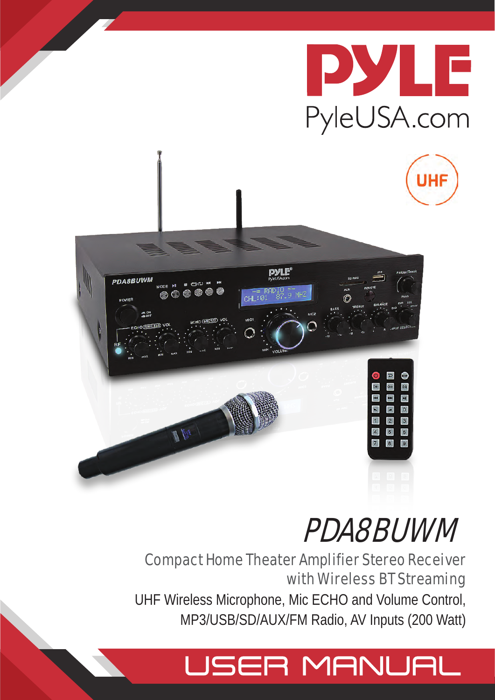



# Compact Home Theater Amplifier Stereo Receiver with Wireless BT Streaming UHF Wireless Microphone, Mic ECHO and Volume Control, MP3/USB/SD/AUX/FM Radio, AV Inputs (200 Watt)

# USER MANUAL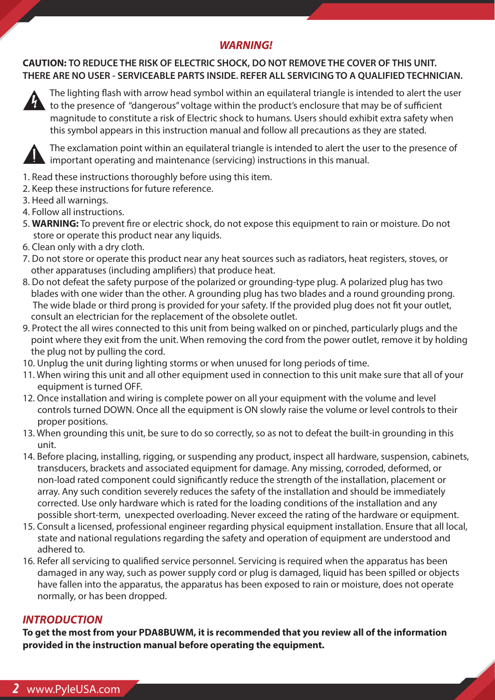# *WARNING!*

**CAUTION: TO REDUCE THE RISK OF ELECTRIC SHOCK, DO NOT REMOVE THE COVER OF THIS UNIT. THERE ARE NO USER - SERVICEABLE PARTS INSIDE. REFER ALL SERVICING TO A QUALIFIED TECHNICIAN.** 



The lighting flash with arrow head symbol within an equilateral triangle is intended to alert the user to the presence of "dangerous" voltage within the product's enclosure that may be of sufficient magnitude to constitute a risk of Electric shock to humans. Users should exhibit extra safety when this symbol appears in this instruction manual and follow all precautions as they are stated.



 The exclamation point within an equilateral triangle is intended to alert the user to the presence of important operating and maintenance (servicing) instructions in this manual.

- 1. Read these instructions thoroughly before using this item.
- 2. Keep these instructions for future reference.
- 3. Heed all warnings.
- 4. Follow all instructions.
- 5. WARNING: To prevent fire or electric shock, do not expose this equipment to rain or moisture. Do not store or operate this product near any liquids.
- 6. Clean only with a dry cloth.
- 7. Do not store or operate this product near any heat sources such as radiators, heat registers, stoves, or other apparatuses (including amplifiers) that produce heat.
- 8. Do not defeat the safety purpose of the polarized or grounding-type plug. A polarized plug has two blades with one wider than the other. A grounding plug has two blades and a round grounding prong. The wide blade or third prong is provided for your safety. If the provided plug does not fit your outlet, consult an electrician for the replacement of the obsolete outlet.
- 9. Protect the all wires connected to this unit from being walked on or pinched, particularly plugs and the point where they exit from the unit. When removing the cord from the power outlet, remove it by holding the plug not by pulling the cord.
- 10. Unplug the unit during lighting storms or when unused for long periods of time.
- 11. When wiring this unit and all other equipment used in connection to this unit make sure that all of your equipment is turned OFF.
- 12. Once installation and wiring is complete power on all your equipment with the volume and level controls turned DOWN. Once all the equipment is ON slowly raise the volume or level controls to their proper positions.
- 13. When grounding this unit, be sure to do so correctly, so as not to defeat the built-in grounding in this unit.
- 14. Before placing, installing, rigging, or suspending any product, inspect all hardware, suspension, cabinets, transducers, brackets and associated equipment for damage. Any missing, corroded, deformed, or non-load rated component could significantly reduce the strength of the installation, placement or array. Any such condition severely reduces the safety of the installation and should be immediately corrected. Use only hardware which is rated for the loading conditions of the installation and any possible short-term, unexpected overloading. Never exceed the rating of the hardware or equipment.
- 15. Consult a licensed, professional engineer regarding physical equipment installation. Ensure that all local, state and national regulations regarding the safety and operation of equipment are understood and adhered to.
- 16. Refer all servicing to qualified service personnel. Servicing is required when the apparatus has been damaged in any way, such as power supply cord or plug is damaged, liquid has been spilled or objects have fallen into the apparatus, the apparatus has been exposed to rain or moisture, does not operate normally, or has been dropped.

# *INTRODUCTION*

**To get the most from your PDA8BUWM, it is recommended that you review all of the information provided in the instruction manual before operating the equipment.**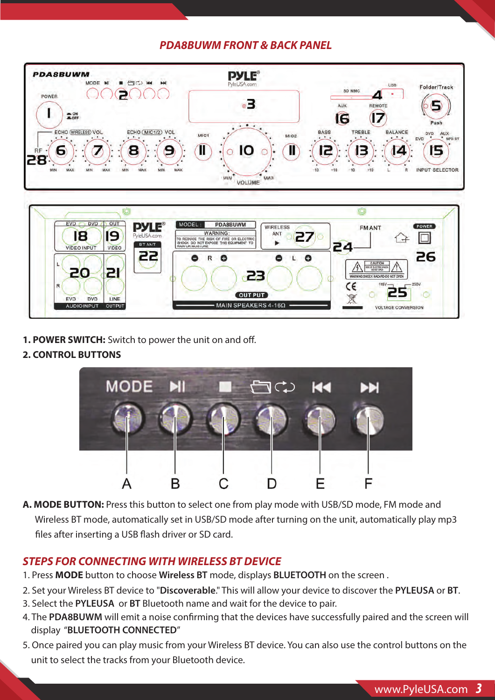# *PDA8BUWM FRONT & BACK PANEL*



**1. POWER SWITCH:** Switch to power the unit on and off.

#### **2. CONTROL BUTTONS**



**A. MODE BUTTON:** Press this button to select one from play mode with USB/SD mode, FM mode and Wireless BT mode, automatically set in USB/SD mode after turning on the unit, automatically play mp3 files after inserting a USB flash driver or SD card.

# *STEPS FOR CONNECTING WITH WIRELESS BT DEVICE*

- 1. Press **MODE** button to choose **Wireless BT** mode, displays **BLUETOOTH** on the screen .
- 2. Set your Wireless BT device to "**Discoverable**." This will allow your device to discover the **PYLEUSA** or **BT**.
- 3. Select the **PYLEUSA** or **BT** Bluetooth name and wait for the device to pair.
- 4. The PDA8BUWM will emit a noise confirming that the devices have successfully paired and the screen will display "**BLUETOOTH CONNECTED**"
- 5. Once paired you can play music from your Wireless BT device. You can also use the control buttons on the unit to select the tracks from your Bluetooth device.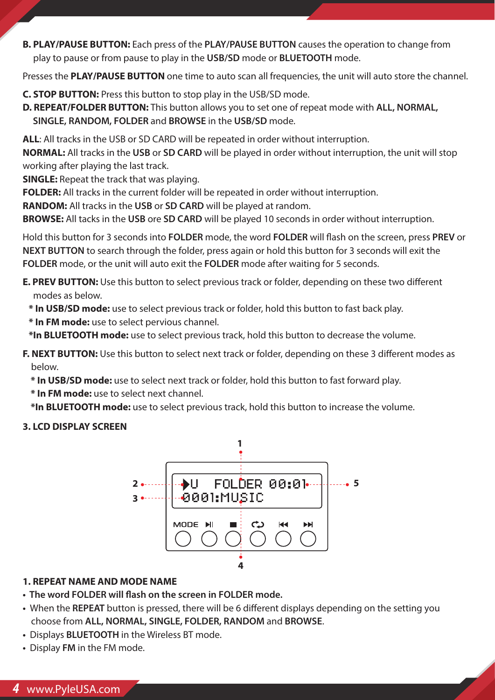**B. PLAY/PAUSE BUTTON:** Each press of the **PLAY/PAUSE BUTTON** causes the operation to change from play to pause or from pause to play in the **USB/SD** mode or **BLUETOOTH** mode.

Presses the **PLAY/PAUSE BUTTON** one time to auto scan all frequencies, the unit will auto store the channel.

- **C. STOP BUTTON:** Press this button to stop play in the USB/SD mode.
- **D. REPEAT/FOLDER BUTTON:** This button allows you to set one of repeat mode with **ALL, NORMAL, SINGLE, RANDOM, FOLDER** and **BROWSE** in the **USB/SD** mode.

**ALL**: All tracks in the USB or SD CARD will be repeated in order without interruption.

**NORMAL:** All tracks in the **USB** or **SD CARD** will be played in order without interruption, the unit will stop working after playing the last track.

**SINGLE:** Repeat the track that was playing.

**FOLDER:** All tracks in the current folder will be repeated in order without interruption.

**RANDOM:** All tracks in the **USB** or **SD CARD** will be played at random.

**BROWSE:** All tacks in the **USB** ore **SD CARD** will be played 10 seconds in order without interruption.

Hold this button for 3 seconds into **FOLDER** mode, the word **FOLDER** will flash on the screen, press **PREV** or **NEXT BUTTON** to search through the folder, press again or hold this button for 3 seconds will exit the **FOLDER** mode, or the unit will auto exit the **FOLDER** mode after waiting for 5 seconds.

**E. PREV BUTTON:** Use this button to select previous track or folder, depending on these two different modes as below.

- **\* In USB/SD mode:** use to select previous track or folder, hold this button to fast back play.
- **\* In FM mode:** use to select pervious channel.

 **\*In BLUETOOTH mode:** use to select previous track, hold this button to decrease the volume.

**F. NEXT BUTTON:** Use this button to select next track or folder, depending on these 3 different modes as below.

- **\* In USB/SD mode:** use to select next track or folder, hold this button to fast forward play.
- **\* In FM mode:** use to select next channel.

 **\*In BLUETOOTH mode:** use to select previous track, hold this button to increase the volume.

#### **3. LCD DISPLAY SCREEN**



#### **1. REPEAT NAME AND MODE NAME**

- **The word FOLDER will flash on the screen in FOLDER mode.**
- When the **REPEAT** button is pressed, there will be 6 different displays depending on the setting you choose from **ALL, NORMAL, SINGLE, FOLDER, RANDOM** and **BROWSE**.
- Displays **BLUETOOTH** in the Wireless BT mode.
- Display **FM** in the FM mode.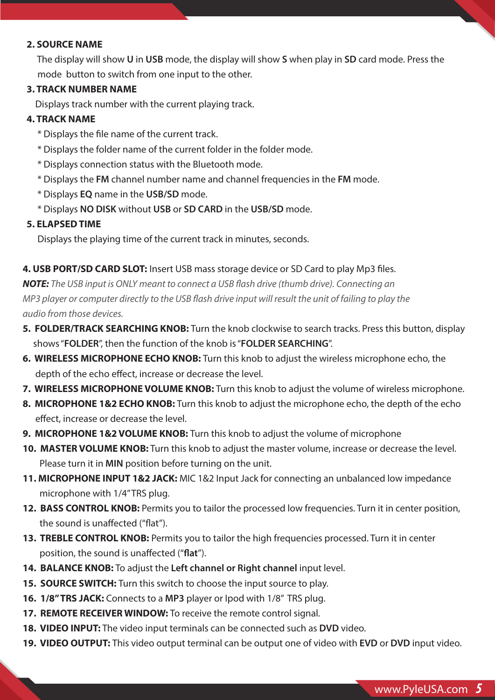#### **2. SOURCE NAME**

 The display will show **U** in **USB** mode, the display will show **S** when play in **SD** card mode. Press the mode button to switch from one input to the other.

#### **3. TRACK NUMBER NAME**

Displays track number with the current playing track.

#### **4. TRACK NAME**

- \* Displays the le name of the current track.
- \* Displays the folder name of the current folder in the folder mode.
- \* Displays connection status with the Bluetooth mode.
- \* Displays the **FM** channel number name and channel frequencies in the **FM** mode.
- \* Displays **EQ** name in the **USB/SD** mode.
- \* Displays **NO DISK** without **USB** or **SD CARD** in the **USB/SD** mode.

#### **5. ELAPSED TIME**

Displays the playing time of the current track in minutes, seconds.

### 4. USB PORT/SD CARD SLOT: Insert USB mass storage device or SD Card to play Mp3 files.

**NOTE:** The USB input is ONLY meant to connect a USB flash drive (thumb drive). Connecting an *MP3 player or computer directly to the USB flash drive input will result the unit of failing to play the audio from those devices.*

- **5. FOLDER/TRACK SEARCHING KNOB:** Turn the knob clockwise to search tracks. Press this button, display shows "**FOLDER**", then the function of the knob is "**FOLDER SEARCHING**".
- **6. WIRELESS MICROPHONE ECHO KNOB:** Turn this knob to adjust the wireless microphone echo, the depth of the echo effect, increase or decrease the level.
- **7. WIRELESS MICROPHONE VOLUME KNOB:** Turn this knob to adjust the volume of wireless microphone.
- **8. MICROPHONE 1&2 ECHO KNOB:** Turn this knob to adjust the microphone echo, the depth of the echo effect, increase or decrease the level.
- **9. MICROPHONE 1&2 VOLUME KNOB:** Turn this knob to adjust the volume of microphone
- **10. MASTER VOLUME KNOB:** Turn this knob to adjust the master volume, increase or decrease the level. Please turn it in **MIN** position before turning on the unit.
- **11. MICROPHONE INPUT 1&2 JACK:** MIC 1&2 Input Jack for connecting an unbalanced low impedance microphone with 1/4" TRS plug.
- 12. BASS CONTROL KNOB: Permits you to tailor the processed low frequencies. Turn it in center position, the sound is unaffected ("flat").
- **13. TREBLE CONTROL KNOB:** Permits you to tailor the high frequencies processed. Turn it in center position, the sound is unaffected ("flat").
- **14. BALANCE KNOB:** To adjust the **Left channel or Right channel** input level.
- **15. SOURCE SWITCH:** Turn this switch to choose the input source to play.
- **16. 1/8" TRS JACK:** Connects to a **MP3** player or Ipod with 1/8" TRS plug.
- **17. REMOTE RECEIVER WINDOW:** To receive the remote control signal.
- **18. VIDEO INPUT:** The video input terminals can be connected such as **DVD** video.
- **19. VIDEO OUTPUT:** This video output terminal can be output one of video with **EVD** or **DVD** input video.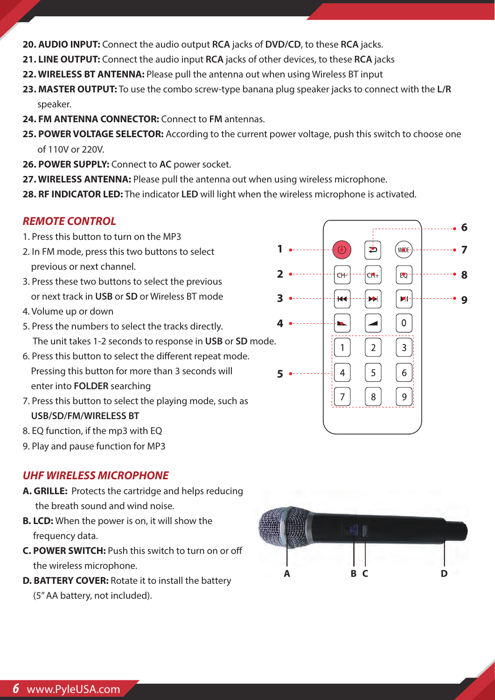- **20. AUDIO INPUT:** Connect the audio output **RCA** jacks of **DVD/CD**, to these **RCA** jacks.
- **21. LINE OUTPUT:** Connect the audio input **RCA** jacks of other devices, to these **RCA** jacks
- **22. WIRELESS BT ANTENNA:** Please pull the antenna out when using Wireless BT input
- **23. MASTER OUTPUT:** To use the combo screw-type banana plug speaker jacks to connect with the **L/R** speaker.
- **24. FM ANTENNA CONNECTOR:** Connect to **FM** antennas.
- **25. POWER VOLTAGE SELECTOR:** According to the current power voltage, push this switch to choose one of 110V or 220V.
- **26. POWER SUPPLY:** Connect to **AC** power socket.
- **27. WIRELESS ANTENNA:** Please pull the antenna out when using wireless microphone.
- **28. RF INDICATOR LED:** The indicator **LED** will light when the wireless microphone is activated.

# *REMOTE CONTROL*

- 1. Press this button to turn on the MP3
- 2. In FM mode, press this two buttons to select previous or next channel.
- 3. Press these two buttons to select the previous or next track in **USB** or **SD** or Wireless BT mode
- 4. Volume up or down
- 5. Press the numbers to select the tracks directly. The unit takes 1-2 seconds to response in **USB** or **SD** mode.
- 6. Press this button to select the different repeat mode. Pressing this button for more than 3 seconds will enter into **FOLDER** searching
- 7. Press this button to select the playing mode, such as **USB/SD/FM/WIRELESS BT**
- 8. EQ function, if the mp3 with EQ
- 9. Play and pause function for MP3

# *UHF WIRELESS MICROPHONE*

- **A. GRILLE:** Protects the cartridge and helps reducing the breath sound and wind noise.
- **B. LCD:** When the power is on, it will show the frequency data.
- **C. POWER SWITCH:** Push this switch to turn on or o the wireless microphone.
- **D. BATTERY COVER:** Rotate it to install the battery (5" AA battery, not included).



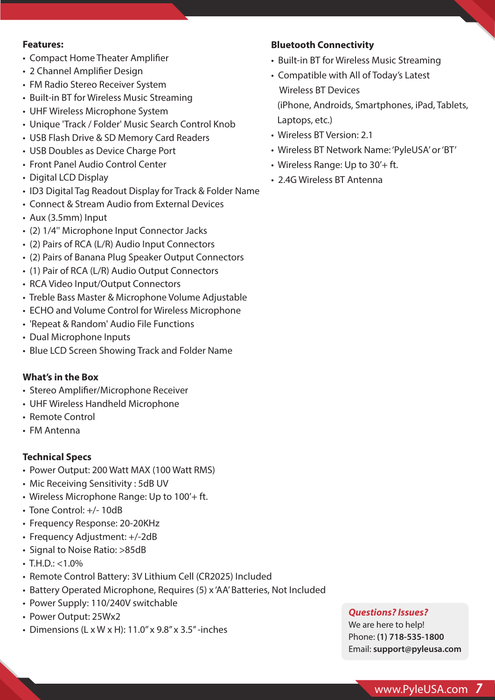#### **Features:**

- Compact Home Theater Amplifier
- 2 Channel Amplifier Design
- FM Radio Stereo Receiver System
- Built-in BT for Wireless Music Streaming
- UHF Wireless Microphone System
- Unique 'Track / Folder' Music Search Control Knob
- USB Flash Drive & SD Memory Card Readers
- USB Doubles as Device Charge Port
- Front Panel Audio Control Center
- Digital LCD Display
- ID3 Digital Tag Readout Display for Track & Folder Name
- Connect & Stream Audio from External Devices
- Aux (3.5mm) Input
- (2) 1/4'' Microphone Input Connector Jacks
- (2) Pairs of RCA (L/R) Audio Input Connectors
- (2) Pairs of Banana Plug Speaker Output Connectors
- (1) Pair of RCA (L/R) Audio Output Connectors
- RCA Video Input/Output Connectors
- Treble Bass Master & Microphone Volume Adjustable
- ECHO and Volume Control for Wireless Microphone
- 'Repeat & Random' Audio File Functions
- Dual Microphone Inputs
- Blue LCD Screen Showing Track and Folder Name

#### **What's in the Box**

- Stereo Amplifier/Microphone Receiver
- UHF Wireless Handheld Microphone
- Remote Control
- FM Antenna

# **Technical Specs**

- Power Output: 200 Watt MAX (100 Watt RMS)
- Mic Receiving Sensitivity : 5dB UV
- Wireless Microphone Range: Up to 100'+ ft.
- Tone Control: +/- 10dB
- Frequency Response: 20-20KHz
- Frequency Adjustment: +/-2dB
- Signal to Noise Ratio: >85dB
- $\cdot$  T.H.D.: <1.0%
- Remote Control Battery: 3V Lithium Cell (CR2025) Included
- Battery Operated Microphone, Requires (5) x 'AA' Batteries, Not Included
- Power Supply: 110/240V switchable
- Power Output: 25Wx2
- Dimensions (L x W x H):  $11.0''$  x  $9.8''$  x  $3.5''$ -inches

### **Bluetooth Connectivity**

- Built-in BT for Wireless Music Streaming
- Compatible with All of Today's Latest Wireless BT Devices (iPhone, Androids, Smartphones, iPad, Tablets, Laptops, etc.)
- Wireless BT Version: 2.1
- Wireless BT Network Name: 'PyleUSA' or 'BT'
- Wireless Range: Up to 30'+ ft.
- 2.4G Wireless BT Antenna

#### *Questions? Issues?*

We are here to help! Phone: **(1) 718-535-1800** Email: **support@pyleusa.com**